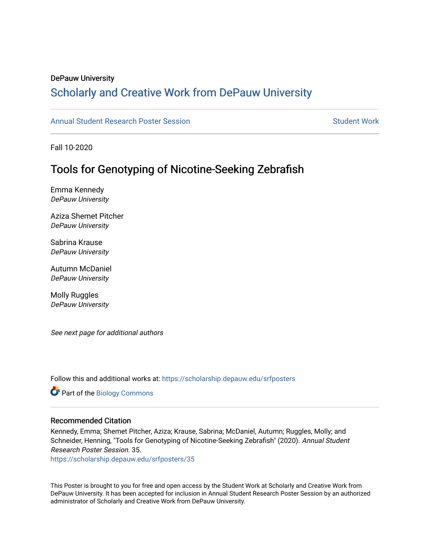#### DePauw University

### Scholarly and [Creative Work from DePauw Univ](https://scholarship.depauw.edu/)ersity

### [Annual Student Research Poster Session](https://scholarship.depauw.edu/srfposters) Student Work

Fall 10-2020

### Tools for Genotyping of Nicotine-Seeking Zebrafish

Emma Kennedy DePauw University

Aziza Shemet Pitcher DePauw University

Sabrina Krause DePauw University

Autumn McDaniel DePauw University

Molly Ruggles DePauw University

See next page for additional authors

Follow this and additional works at: [https://scholarship.depauw.edu/srfposters](https://scholarship.depauw.edu/srfposters?utm_source=scholarship.depauw.edu%2Fsrfposters%2F35&utm_medium=PDF&utm_campaign=PDFCoverPages) 

Part of the [Biology Commons](https://network.bepress.com/hgg/discipline/41?utm_source=scholarship.depauw.edu%2Fsrfposters%2F35&utm_medium=PDF&utm_campaign=PDFCoverPages) 

#### Recommended Citation

Kennedy, Emma; Shemet Pitcher, Aziza; Krause, Sabrina; McDaniel, Autumn; Ruggles, Molly; and Schneider, Henning, "Tools for Genotyping of Nicotine-Seeking Zebrafish" (2020). Annual Student Research Poster Session. 35.

[https://scholarship.depauw.edu/srfposters/35](https://scholarship.depauw.edu/srfposters/35?utm_source=scholarship.depauw.edu%2Fsrfposters%2F35&utm_medium=PDF&utm_campaign=PDFCoverPages)

This Poster is brought to you for free and open access by the Student Work at Scholarly and Creative Work from DePauw University. It has been accepted for inclusion in Annual Student Research Poster Session by an authorized administrator of Scholarly and Creative Work from DePauw University.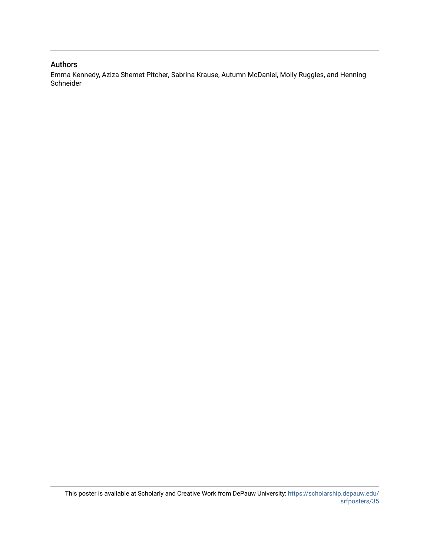### Authors

Emma Kennedy, Aziza Shemet Pitcher, Sabrina Krause, Autumn McDaniel, Molly Ruggles, and Henning Schneider